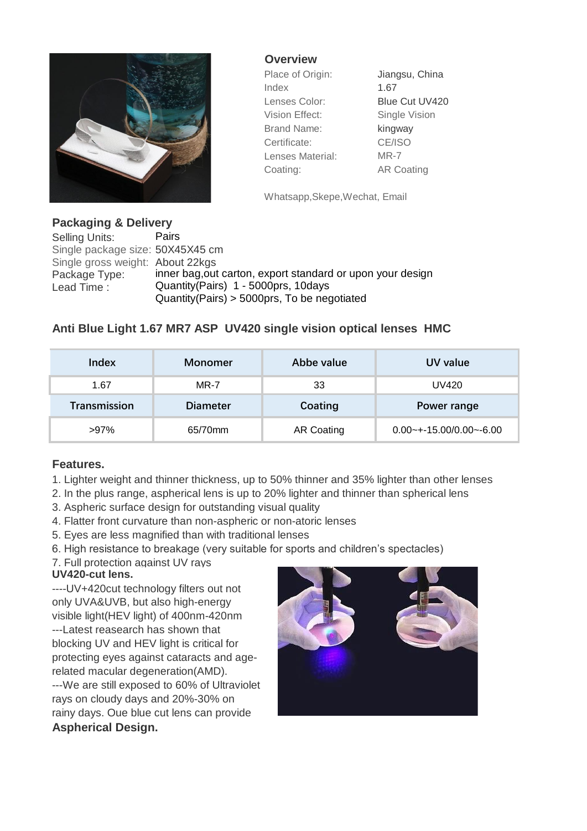

**Overview**

Place of Origin: Jiangsu, China Index 1.67 Lenses Color: Blue Cut UV420 Vision Effect: Single Vision Brand Name: kingway Certificate: CE/ISO Lenses Material: MR-7 Coating: AR Coating

Whatsapp,Skepe,Wechat, Email

**Packaging & Delivery** Selling Units: Pairs Single package size: 50X45X45 cm Single gross weight: About 22kgs Package Type: inner bag,out carton, export standard or upon your design Lead Time : Quantity(Pairs) 1 - 5000prs, 10days Quantity(Pairs) > 5000prs, To be negotiated

## **Anti Blue Light 1.67 MR7 ASP UV420 single vision optical lenses HMC**

| Index               | Monomer         | Abbe value        | UV value                   |
|---------------------|-----------------|-------------------|----------------------------|
| 1.67                | <b>MR-7</b>     | 33                | UV420                      |
| <b>Transmission</b> | <b>Diameter</b> | Coating           | Power range                |
| $>97\%$             | 65/70mm         | <b>AR Coating</b> | $0.00$ ~+-15.00/0.00~-6.00 |

## **Features.**

- 1. Lighter weight and thinner thickness, up to 50% thinner and 35% lighter than other lenses
- 2. In the plus range, aspherical lens is up to 20% lighter and thinner than spherical lens
- 3. Aspheric surface design for outstanding visual quality
- 4. Flatter front curvature than non-aspheric or non-atoric lenses
- 5. Eyes are less magnified than with traditional lenses
- 6. High resistance to breakage (very suitable for sports and children's spectacles)
- 7. Full protection against UV rays **UV420-cut lens.**

**Aspherical Design.** ----UV+420cut technology filters out not only UVA&UVB, but also high-energy visible light(HEV light) of 400nm-420nm ---Latest reasearch has shown that blocking UV and HEV light is critical for protecting eyes against cataracts and agerelated macular degeneration(AMD). ---We are still exposed to 60% of Ultraviolet rays on cloudy days and 20%-30% on rainy days. Oue blue cut lens can provide